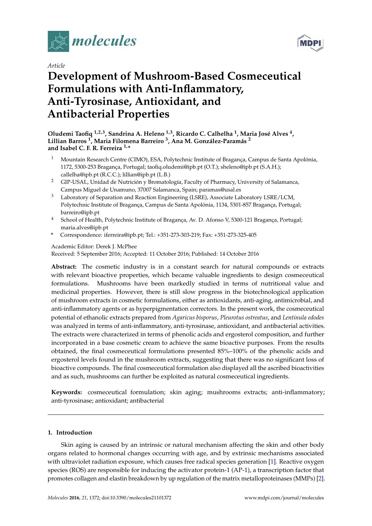

*Article*

# **Development of Mushroom-Based Cosmeceutical Formulations with Anti-Inflammatory, Anti-Tyrosinase, Antioxidant, and Antibacterial Properties**

**Oludemi Taofiq 1,2,3, Sandrina A. Heleno 1,3, Ricardo C. Calhelha <sup>1</sup> , Maria José Alves <sup>4</sup> , Lillian Barros <sup>1</sup> , Maria Filomena Barreiro <sup>3</sup> , Ana M. González-Paramás <sup>2</sup> and Isabel C. F. R. Ferreira 1,\***

- <sup>1</sup> Mountain Research Centre (CIMO), ESA, Polytechnic Institute of Bragança, Campus de Santa Apolónia, 1172, 5300-253 Bragança, Portugal; taofiq.oludemi@ipb.pt (O.T.); sheleno@ipb.pt (S.A.H.); callelha@ipb.pt (R.C.C.); lillian@ipb.pt (L.B.)
- <sup>2</sup> GIP-USAL, Unidad de Nutrición y Bromatología, Faculty of Pharmacy, University of Salamanca, Campus Miguel de Unamuno, 37007 Salamanca, Spain; paramas@usal.es
- <sup>3</sup> Laboratory of Separation and Reaction Engineering (LSRE), Associate Laboratory LSRE/LCM, Polytechnic Institute of Bragança, Campus de Santa Apolónia, 1134, 5301-857 Bragança, Portugal; barreiro@ipb.pt
- <sup>4</sup> School of Health, Polytechnic Institute of Bragança, Av. D. Afonso V, 5300-121 Bragança, Portugal; maria.alves@ipb.pt
- **\*** Correspondence: iferreira@ipb.pt; Tel.: +351-273-303-219; Fax: +351-273-325-405

# Academic Editor: Derek J. McPhee

Received: 5 September 2016; Accepted: 11 October 2016; Published: 14 October 2016

**Abstract:** The cosmetic industry is in a constant search for natural compounds or extracts with relevant bioactive properties, which became valuable ingredients to design cosmeceutical formulations. Mushrooms have been markedly studied in terms of nutritional value and medicinal properties. However, there is still slow progress in the biotechnological application of mushroom extracts in cosmetic formulations, either as antioxidants, anti-aging, antimicrobial, and anti-inflammatory agents or as hyperpigmentation correctors. In the present work, the cosmeceutical potential of ethanolic extracts prepared from *Agaricus bisporus*, *Pleurotus ostreatus*, and *Lentinula edodes* was analyzed in terms of anti-inflammatory, anti-tyrosinase, antioxidant, and antibacterial activities. The extracts were characterized in terms of phenolic acids and ergosterol composition, and further incorporated in a base cosmetic cream to achieve the same bioactive purposes. From the results obtained, the final cosmeceutical formulations presented 85%–100% of the phenolic acids and ergosterol levels found in the mushroom extracts, suggesting that there was no significant loss of bioactive compounds. The final cosmeceutical formulation also displayed all the ascribed bioactivities and as such, mushrooms can further be exploited as natural cosmeceutical ingredients.

**Keywords:** cosmeceutical formulation; skin aging; mushrooms extracts; anti-inflammatory; anti-tyrosinase; antioxidant; antibacterial

# **1. Introduction**

Skin aging is caused by an intrinsic or natural mechanism affecting the skin and other body organs related to hormonal changes occurring with age, and by extrinsic mechanisms associated with ultraviolet radiation exposure, which causes free radical species generation [\[1\]](#page-9-0). Reactive oxygen species (ROS) are responsible for inducing the activator protein-1 (AP-1), a transcription factor that promotes collagen and elastin breakdown by up regulation of the matrix metalloproteinases (MMPs) [\[2\]](#page-9-1).

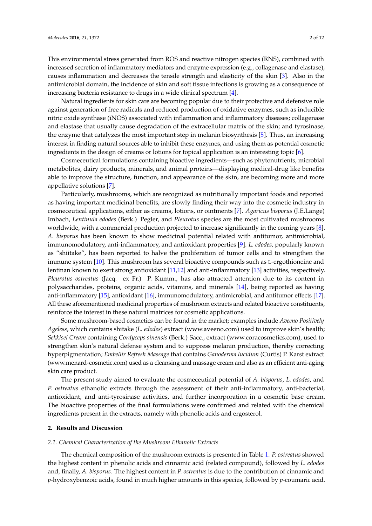This environmental stress generated from ROS and reactive nitrogen species (RNS), combined with increased secretion of inflammatory mediators and enzyme expression (e.g., collagenase and elastase), causes inflammation and decreases the tensile strength and elasticity of the skin [\[3\]](#page-9-2). Also in the antimicrobial domain, the incidence of skin and soft tissue infections is growing as a consequence of increasing bacteria resistance to drugs in a wide clinical spectrum [\[4\]](#page-9-3).

Natural ingredients for skin care are becoming popular due to their protective and defensive role against generation of free radicals and reduced production of oxidative enzymes, such as inducible nitric oxide synthase (iNOS) associated with inflammation and inflammatory diseases; collagenase and elastase that usually cause degradation of the extracellular matrix of the skin; and tyrosinase, the enzyme that catalyzes the most important step in melanin biosynthesis [\[5\]](#page-9-4). Thus, an increasing interest in finding natural sources able to inhibit these enzymes, and using them as potential cosmetic ingredients in the design of creams or lotions for topical application is an interesting topic [\[6\]](#page-9-5).

Cosmeceutical formulations containing bioactive ingredients—such as phytonutrients, microbial metabolites, dairy products, minerals, and animal proteins—displaying medical-drug like benefits able to improve the structure, function, and appearance of the skin, are becoming more and more appellative solutions [\[7\]](#page-10-0).

Particularly, mushrooms, which are recognized as nutritionally important foods and reported as having important medicinal benefits, are slowly finding their way into the cosmetic industry in cosmeceutical applications, either as creams, lotions, or ointments [\[7\]](#page-10-0). *Agaricus bisporus* (J.E.Lange) Imbach, *Lentinula edodes* (Berk.) Pegler, and *Pleurotus* species are the most cultivated mushrooms worldwide, with a commercial production projected to increase significantly in the coming years [\[8\]](#page-10-1). *A. bisporus* has been known to show medicinal potential related with antitumor, antimicrobial, immunomodulatory, anti-inflammatory, and antioxidant properties [\[9\]](#page-10-2). *L. edodes,* popularly known as "shiitake", has been reported to halve the proliferation of tumor cells and to strengthen the immune system [\[10\]](#page-10-3). This mushroom has several bioactive compounds such as L-ergothioneine and lentinan known to exert strong antioxidant [\[11](#page-10-4)[,12\]](#page-10-5) and anti-inflammatory [\[13\]](#page-10-6) activities, respectively. *Pleurotus ostreatus* (Jacq. ex Fr.) P. Kumm., has also attracted attention due to its content in polysaccharides, proteins, organic acids, vitamins, and minerals [\[14\]](#page-10-7), being reported as having anti-inflammatory [\[15\]](#page-10-8), antioxidant [\[16\]](#page-10-9), immunomodulatory, antimicrobial, and antitumor effects [\[17\]](#page-10-10). All these aforementioned medicinal properties of mushroom extracts and related bioactive constituents, reinforce the interest in these natural matrices for cosmetic applications.

Some mushroom-based cosmetics can be found in the market; examples include *Aveeno Positively Ageless*, which contains shitake (*L. edodes*) extract [\(www.aveeno.com\)](www.aveeno.com) used to improve skin's health; *Sekkisei Cream* containing *Cordyceps sinensis* (Berk.) Sacc., extract [\(www.coracosmetics.com\)](www.coracosmetics.com), used to strengthen skin's natural defense system and to suppress melanin production, thereby correcting hyperpigmentation; *Embellir Refresh Massage* that contains *Ganoderma lucidum* (Curtis) P. Karst extract [\(www.menard-cosmetic.com\)](www.menard-cosmetic.com) used as a cleansing and massage cream and also as an efficient anti-aging skin care product.

The present study aimed to evaluate the cosmeceutical potential of *A. bisporus*, *L. edodes*, and *P. ostreatus* ethanolic extracts through the assessment of their anti-inflammatory, anti-bacterial, antioxidant, and anti-tyrosinase activities, and further incorporation in a cosmetic base cream. The bioactive properties of the final formulations were confirmed and related with the chemical ingredients present in the extracts, namely with phenolic acids and ergosterol.

# **2. Results and Discussion**

## *2.1. Chemical Characterization of the Mushroom Ethanolic Extracts*

The chemical composition of the mushroom extracts is presented in Table [1.](#page-4-0) *P. ostreatus* showed the highest content in phenolic acids and cinnamic acid (related compound), followed by *L. edodes* and, finally, *A. bisporus.* The highest content in *P. ostreatus* is due to the contribution of cinnamic and *p*-hydroxybenzoic acids, found in much higher amounts in this species, followed by *p*-coumaric acid.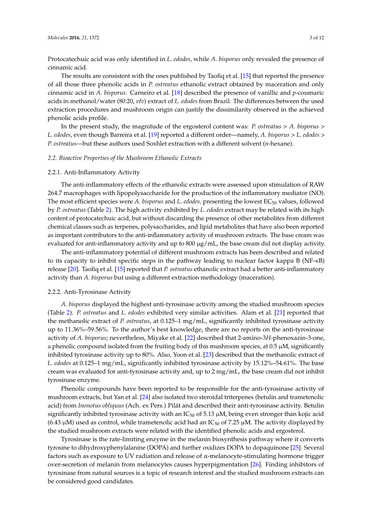Protocatechuic acid was only identified in *L. edodes*, while *A. bisporus* only revealed the presence of cinnamic acid.

The results are consistent with the ones published by Taofiq et al. [\[15\]](#page-10-8) that reported the presence of all those three phenolic acids in *P. ostreatus* ethanolic extract obtained by maceration and only cinnamic acid in *A. bisporus*. Carneiro et al. [\[18\]](#page-10-11) described the presence of vanillic and *p*-coumaric acids in methanol/water (80:20, *v/v*) extract of *L. edodes* from Brazil. The differences between the used extraction procedures and mushroom origin can justify the dissimilarity observed in the achieved phenolic acids profile.

In the present study, the magnitude of the ergosterol content was: *P. ostreatus* > *A. bisporus* > *L. edodes*, even though Barreira et al. [\[19\]](#page-10-12) reported a different order—namely, *A. bisporus* > *L. edodes* > *P. ostreatus*—but these authors used Soxhlet extraction with a different solvent (*n*-hexane).

## *2.2. Bioactive Properties of the Mushroom Ethanolic Extracts*

#### 2.2.1. Anti-Inflammatory Activity

The anti-inflammatory effects of the ethanolic extracts were assessed upon stimulation of RAW 264.7 macrophages with lipopolysaccharide for the production of the inflammatory mediator (NO). The most efficient species were *A. bisporus* and *L. edodes*, presenting the lowest EC<sub>50</sub> values, followed by *P. ostreatus* (Table [2\)](#page-4-1). The high activity exhibited by *L. edodes* extract may be related with its high content of protocatechuic acid, but without discarding the presence of other metabolites from different chemical classes such as terpenes, polysaccharides, and lipid metabolites that have also been reported as important contributors to the anti-inflammatory activity of mushroom extracts. The base cream was evaluated for anti-inflammatory activity and up to 800 µg/mL, the base cream did not display activity.

The anti-inflammatory potential of different mushroom extracts has been described and related to its capacity to inhibit specific steps in the pathway leading to nuclear factor kappa B (NF-κB) release [\[20\]](#page-10-13). Taofiq et al. [\[15\]](#page-10-8) reported that *P. ostreatus* ethanolic extract had a better anti-inflammatory activity than *A. bisporus* but using a different extraction methodology (maceration).

#### 2.2.2. Anti-Tyrosinase Activity

*A. bisporus* displayed the highest anti-tyrosinase activity among the studied mushroom species (Table [2\)](#page-4-1). *P. ostreatus* and *L. edodes* exhibited very similar activities. Alam et al. [\[21\]](#page-10-14) reported that the methanolic extract of *P. ostreatus*, at 0.125–1 mg/mL, significantly inhibited tyrosinase activity up to 11.36%–59.56%. To the author's best knowledge, there are no reports on the anti-tyrosinase activity of *A. bisporus*; nevertheless, Miyake et al. [\[22\]](#page-10-15) described that 2-amino-3*H*-phenoxazin-3-one, a phenolic compound isolated from the fruiting body of this mushroom species, at  $0.5 \mu M$ , significantly inhibited tyrosinase activity up to 80%. Also, Yoon et al. [\[23\]](#page-10-16) described that the methanolic extract of *L. edodes* at 0.125–1 mg/mL, significantly inhibited tyrosinase activity by 15.12%–54.61%. The base cream was evaluated for anti-tyrosinase activity and, up to 2 mg/mL, the base cream did not inhibit tyrosinase enzyme.

Phenolic compounds have been reported to be responsible for the anti-tyrosinase activity of mushroom extracts, but Yan et al. [\[24\]](#page-10-17) also isolated two steroidal triterpenes (betulin and trametenolic acid) from *Inonotus obliquus* (Ach. ex Pers.) Pilát and described their anti-tyrosinase activity. Betulin significantly inhibited tyrosinase activity with an  $IC_{50}$  of 5.13  $\mu$ M, being even stronger than kojic acid (6.43  $\mu$ M) used as control, while trametenolic acid had an IC<sub>50</sub> of 7.25  $\mu$ M. The activity displayed by the studied mushroom extracts were related with the identified phenolic acids and ergosterol.

Tyrosinase is the rate-limiting enzyme in the melanin biosynthesis pathway where it converts tyrosine to dihydroxyphenylalanine (DOPA) and further oxidizes DOPA to dopaquinone [\[25\]](#page-11-0). Several factors such as exposure to UV radiation and release of  $\alpha$ -melanocyte-stimulating hormone trigger over-secretion of melanin from melanocytes causes hyperpigmentation [\[26\]](#page-11-1). Finding inhibitors of tyrosinase from natural sources is a topic of research interest and the studied mushroom extracts can be considered good candidates.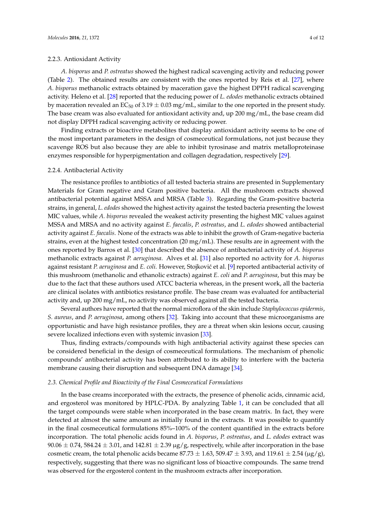## 2.2.3. Antioxidant Activity

*A. bisporus* and *P. ostreatus* showed the highest radical scavenging activity and reducing power (Table [2\)](#page-4-1). The obtained results are consistent with the ones reported by Reis et al. [\[27\]](#page-11-2), where *A. bisporus* methanolic extracts obtained by maceration gave the highest DPPH radical scavenging activity. Heleno et al. [\[28\]](#page-11-3) reported that the reducing power of *L. edodes* methanolic extracts obtained by maceration revealed an  $EC_{50}$  of 3.19  $\pm$  0.03 mg/mL, similar to the one reported in the present study. The base cream was also evaluated for antioxidant activity and, up 200 mg/mL, the base cream did not display DPPH radical scavenging activity or reducing power.

Finding extracts or bioactive metabolites that display antioxidant activity seems to be one of the most important parameters in the design of cosmeceutical formulations, not just because they scavenge ROS but also because they are able to inhibit tyrosinase and matrix metalloproteinase enzymes responsible for hyperpigmentation and collagen degradation, respectively [\[29\]](#page-11-4).

#### 2.2.4. Antibacterial Activity

The resistance profiles to antibiotics of all tested bacteria strains are presented in Supplementary Materials for Gram negative and Gram positive bacteria. All the mushroom extracts showed antibacterial potential against MSSA and MRSA (Table [3\)](#page-4-2). Regarding the Gram-positive bacteria strains, in general, *L. edodes* showed the highest activity against the tested bacteria presenting the lowest MIC values, while *A. bisporus* revealed the weakest activity presenting the highest MIC values against MSSA and MRSA and no activity against *E. faecalis*, *P. ostreatus*, and *L. edodes* showed antibacterial activity against *E. faecalis*. None of the extracts was able to inhibit the growth of Gram-negative bacteria strains, even at the highest tested concentration (20 mg/mL). These results are in agreement with the ones reported by Barros et al. [\[30\]](#page-11-5) that described the absence of antibacterial activity of *A. bisporus* methanolic extracts against *P. aeruginosa*. Alves et al. [\[31\]](#page-11-6) also reported no activity for *A. bisporus* against resistant *P. aeruginosa* and *E. coli.* However, Stojković et al. [\[9\]](#page-10-2) reported antibacterial activity of this mushroom (methanolic and ethanolic extracts) against *E. coli* and *P. aeruginosa*, but this may be due to the fact that these authors used ATCC bacteria whereas, in the present work, all the bacteria are clinical isolates with antibiotics resistance profile. The base cream was evaluated for antibacterial activity and, up 200 mg/mL, no activity was observed against all the tested bacteria.

Several authors have reported that the normal microflora of the skin include *Staphylococcus epidermis*, *S. aureus*, and *P. aeruginosa*, among others [\[32\]](#page-11-7). Taking into account that these microorganisms are opportunistic and have high resistance profiles, they are a threat when skin lesions occur, causing severe localized infections even with systemic invasion [\[33\]](#page-11-8).

Thus, finding extracts/compounds with high antibacterial activity against these species can be considered beneficial in the design of cosmeceutical formulations. The mechanism of phenolic compounds' antibacterial activity has been attributed to its ability to interfere with the bacteria membrane causing their disruption and subsequent DNA damage [\[34\]](#page-11-9).

#### *2.3. Chemical Profile and Bioactivity of the Final Cosmeceutical Formulations*

In the base creams incorporated with the extracts, the presence of phenolic acids, cinnamic acid, and ergosterol was monitored by HPLC-PDA. By analyzing Table [1,](#page-4-0) it can be concluded that all the target compounds were stable when incorporated in the base cream matrix. In fact, they were detected at almost the same amount as initially found in the extracts. It was possible to quantify in the final cosmeceutical formulations 85%–100% of the content quantified in the extracts before incorporation. The total phenolic acids found in *A. bisporus*, *P. ostreatus*, and *L. edodes* extract was 90.06  $\pm$  0.74, 584.24  $\pm$  3.01, and 142.81  $\pm$  2.39 µg/g, respectively, while after incorporation in the base cosmetic cream, the total phenolic acids became  $87.73 \pm 1.63$ ,  $509.47 \pm 3.93$ , and  $119.61 \pm 2.54$  ( $\mu$ g/g), respectively, suggesting that there was no significant loss of bioactive compounds. The same trend was observed for the ergosterol content in the mushroom extracts after incorporation.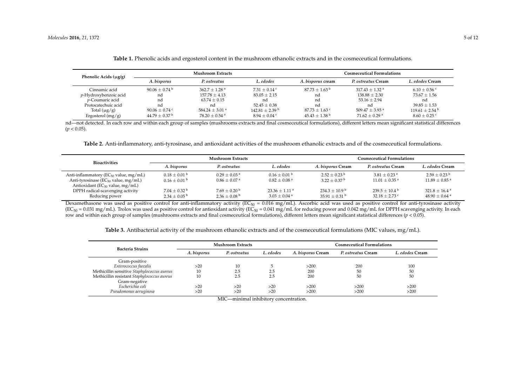| Phenolic Acids $(\mu g/g)$ |                             | <b>Mushroom Extracts</b>     |                              | Cosmeceutical Formulations : |                              |                              |
|----------------------------|-----------------------------|------------------------------|------------------------------|------------------------------|------------------------------|------------------------------|
|                            | A. bisvorus                 | P. ostreatus                 | L. edodes                    | A. bisporus cream            | P. ostreatus Cream           | L. edodes Cream              |
| Cinnamic acid              | $90.06 + 0.74$ <sup>b</sup> | $362.7 + 1.28$ <sup>a</sup>  | $7.31 + 0.14$ c              | $87.73 + 1.63^{\mathrm{b}}$  | $317.43 + 1.32$ <sup>a</sup> | $6.10 + 0.56$ c              |
| p-Hydroxybenzoic acid      | nd                          | $157.78 + 4.13$              | $83.05 + 2.15$               | nd                           | $138.88 + 2.30$              | $73.67 + 1.56$               |
| <i>v</i> -Coumaric acid    | nd                          | $63.74 \pm 0.15$             | nd                           | nd                           | $53.16 \pm 2.94$             | nd                           |
| Protocatechuic acid        | nd                          | nd                           | $52.45 + 0.38$               | nd                           | nd                           | $39.85 \pm 1.53$             |
| Total $(\mu g/g)$          | $90.06 + 0.74$ c            | $584.24 + 3.01$ <sup>a</sup> | $142.81 + 2.39$ <sup>b</sup> | $87.73 \pm 1.63$ c           | $509.47 + 3.93$ <sup>a</sup> | $119.61 + 2.54$ <sup>b</sup> |
| Ergosterol $(mg/g)$        | $44.79 + 0.37$ <sup>b</sup> | $78.20 + 0.54$ <sup>a</sup>  | $8.94 + 0.04$ c              | $45.43 + 1.38$ <sup>b</sup>  | $71.62 + 0.29$ <sup>a</sup>  | $8.60 + 0.25$                |

| Table 1. Phenolic acids and ergosterol content in the mushroom ethanolic extracts and in the cosmeceutical formulations. |  |  |  |  |  |
|--------------------------------------------------------------------------------------------------------------------------|--|--|--|--|--|
|--------------------------------------------------------------------------------------------------------------------------|--|--|--|--|--|

nd—not detected. In each row and within each group of samples (mushrooms extracts and final cosmeceutical formulations), different letters mean significant statistical differences  $(p < 0.05)$ .

**Table 2.** Anti-inflammatory, anti-tyrosinase, and antioxidant activities of the mushroom ethanolic extracts and of the cosmeceutical formulations.

| <b>Bioactivities</b>                                                                                                              | Mushroom Extracts                                        |                                                            |                                                             | <b>Cosmeceutical Formulations</b>                        |                                                           |                                                                |  |
|-----------------------------------------------------------------------------------------------------------------------------------|----------------------------------------------------------|------------------------------------------------------------|-------------------------------------------------------------|----------------------------------------------------------|-----------------------------------------------------------|----------------------------------------------------------------|--|
|                                                                                                                                   | A. bisporus                                              | P. ostreatus                                               | L. edodes                                                   | A. bisporus Cream                                        | P. ostreatus Cream                                        | L. edodes Cream                                                |  |
| Anti-inflammatory ( $EC_{50}$ value, mg/mL)<br>Anti-tyrosinase ( $EC_{50}$ value, mg/mL)<br>Antioxidant ( $EC_{50}$ value, mg/mL) | $0.18 + 0.01$ b<br>$0.16 \pm 0.01$ b                     | $0.29 + 0.03$ <sup>a</sup><br>$0.86 \pm 0.07$ <sup>a</sup> | $0.16 \pm 0.01$ b<br>$0.82 \pm 0.08$ <sup>a</sup>           | $2.52 + 0.23^{\mathrm{b}}$<br>$3.22 + 0.37$ <sup>b</sup> | $3.81 + 0.23$ <sup>a</sup><br>$11.01 + 0.35$ <sup>a</sup> | $2.59 + 0.23^{\mathrm{b}}$<br>$11.89 + 0.85$ <sup>a</sup>      |  |
| DPPH radical-scavenging activity<br>Reducing power                                                                                | $7.04 + 0.32$ <sup>b</sup><br>$2.34 + 0.05^{\mathrm{b}}$ | $7.69 + 0.20^{b}$<br>$2.36 \pm 0.08$ b                     | $23.36 + 1.11$ <sup>a</sup><br>$3.03 \pm 0.04$ <sup>a</sup> | $234.3 + 10.9^{\mathrm{b}}$<br>$35.91 \pm 0.31$ b        | $239.5 + 10.4^{\circ}$<br>32.18 $\pm$ 2.73 $\degree$      | $321.8 \pm 16.4$ <sup>a</sup><br>$48.90 \pm 0.64$ <sup>a</sup> |  |

<span id="page-4-0"></span>Dexamethasone was used as positive control for anti-inflammatory activity ( $EC_{50} = 0.016$  mg/mL). Ascorbic acid was used as positive control for anti-tyrosinase activity  $(EC_{50} = 0.031 \text{ mg/mL})$ . Trolox was used as positive control for antioxidant activity  $(EC_{50} = 0.041 \text{ mg/mL})$  for reducing power and 0.042 mg/mL for DPPH scavenging activity. In each row and within each group of samples (mushrooms extracts and final cosmeceutical formulations), different letters mean significant statistical differences (*p* < 0.05).

**Table 3.** Antibacterial activity of the mushroom ethanolic extracts and of the cosmeceutical formulations (MIC values, mg/mL).

<span id="page-4-2"></span><span id="page-4-1"></span>

|                                             | <b>Mushroom Extracts</b> |              |           | <b>Cosmeceutical Formulations</b> |                    |                 |  |
|---------------------------------------------|--------------------------|--------------|-----------|-----------------------------------|--------------------|-----------------|--|
| <b>Bacteria Strains</b>                     | A. bisporus              | P. ostreatus | L. edodes | A. bisporus Cream                 | P. ostreatus Cream | L. edodes Cream |  |
| Gram-positive                               |                          |              |           |                                   |                    |                 |  |
| Enterococcus faecalis                       | >20                      | 10           |           | >200                              | 200                | 100             |  |
| Methicillin sensitive Staphylococcus aureus | 10                       | 2.5          | 2.5       | 200                               | 50                 | 50              |  |
| Methicillin resistant Staphylococcus aureus | 10                       | 2.5          | 2.5       | 200                               | 50                 | 50              |  |
| Gram-negative                               |                          |              |           |                                   |                    |                 |  |
| Escherichia coli                            | >20                      | >20          | >20       | >200                              | >200               | >200            |  |
| Pseudomonas aeruginosa                      | >20                      | >20          | >20       | >200                              | >200               | >200            |  |

MIC—minimal inhibitory concentration.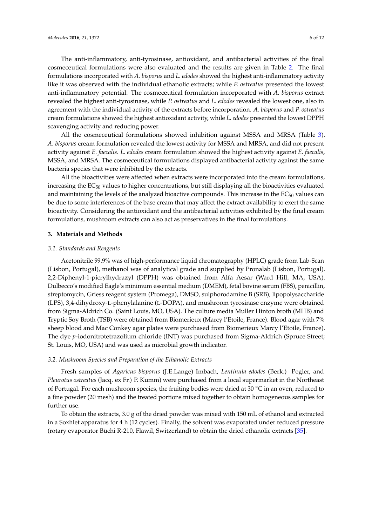The anti-inflammatory, anti-tyrosinase, antioxidant, and antibacterial activities of the final cosmeceutical formulations were also evaluated and the results are given in Table [2.](#page-4-1) The final formulations incorporated with *A. bisporus* and *L. edodes* showed the highest anti-inflammatory activity like it was observed with the individual ethanolic extracts; while *P. ostreatus* presented the lowest anti-inflammatory potential. The cosmeceutical formulation incorporated with *A. bisporus* extract revealed the highest anti-tyrosinase, while *P. ostreatus* and *L. edodes* revealed the lowest one, also in agreement with the individual activity of the extracts before incorporation. *A. bisporus* and *P. ostreatus* cream formulations showed the highest antioxidant activity, while *L. edodes* presented the lowest DPPH scavenging activity and reducing power.

All the cosmeceutical formulations showed inhibition against MSSA and MRSA (Table [3\)](#page-4-2). *A. bisporus* cream formulation revealed the lowest activity for MSSA and MRSA, and did not present activity against *E. faecalis*. *L. edodes* cream formulation showed the highest activity against *E. faecalis*, MSSA, and MRSA. The cosmeceutical formulations displayed antibacterial activity against the same bacteria species that were inhibited by the extracts.

All the bioactivities were affected when extracts were incorporated into the cream formulations, increasing the  $EC_{50}$  values to higher concentrations, but still displaying all the bioactivities evaluated and maintaining the levels of the analyzed bioactive compounds. This increase in the  $EC_{50}$  values can be due to some interferences of the base cream that may affect the extract availability to exert the same bioactivity. Considering the antioxidant and the antibacterial activities exhibited by the final cream formulations, mushroom extracts can also act as preservatives in the final formulations.

## **3. Materials and Methods**

## *3.1. Standards and Reagents*

Acetonitrile 99.9% was of high-performance liquid chromatography (HPLC) grade from Lab-Scan (Lisbon, Portugal), methanol was of analytical grade and supplied by Pronalab (Lisbon, Portugal). 2,2-Diphenyl-1-picrylhydrazyl (DPPH) was obtained from Alfa Aesar (Ward Hill, MA, USA). Dulbecco's modified Eagle's minimum essential medium (DMEM), fetal bovine serum (FBS), penicillin, streptomycin, Griess reagent system (Promega), DMSO, sulphorodamine B (SRB), lipopolysaccharide (LPS), 3,4-dihydroxy-L-phenylalanine (L-DOPA), and mushroom tyrosinase enzyme were obtained from Sigma-Aldrich Co. (Saint Louis, MO, USA). The culture media Muller Hinton broth (MHB) and Tryptic Soy Broth (TSB) were obtained from Biomerieux (Marcy l'Etoile, France). Blood agar with 7% sheep blood and Mac Conkey agar plates were purchased from Biomerieux Marcy l'Etoile, France). The dye *p*-iodonitrotetrazolium chloride (INT) was purchased from Sigma-Aldrich (Spruce Street; St. Louis, MO, USA) and was used as microbial growth indicator.

## *3.2. Mushroom Species and Preparation of the Ethanolic Extracts*

Fresh samples of *Agaricus bisporus* (J.E.Lange) Imbach, *Lentinula edodes* (Berk.) Pegler, and *Pleurotus ostreatus* (Jacq. ex Fr.) P. Kumm) were purchased from a local supermarket in the Northeast of Portugal. For each mushroom species, the fruiting bodies were dried at 30  $\degree$ C in an oven, reduced to a fine powder (20 mesh) and the treated portions mixed together to obtain homogeneous samples for further use.

To obtain the extracts, 3.0 g of the dried powder was mixed with 150 mL of ethanol and extracted in a Soxhlet apparatus for 4 h (12 cycles). Finally, the solvent was evaporated under reduced pressure (rotary evaporator Büchi R-210, Flawil, Switzerland) to obtain the dried ethanolic extracts [\[35\]](#page-11-10).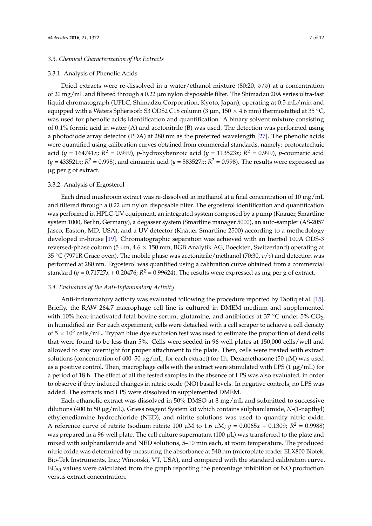## *3.3. Chemical Characterization of the Extracts*

### 3.3.1. Analysis of Phenolic Acids

Dried extracts were re-dissolved in a water/ethanol mixture (80:20, *v*/*v*) at a concentration of 20 mg/mL and filtered through a 0.22 µm nylon disposable filter. The Shimadzu 20A series ultra-fast liquid chromatograph (UFLC, Shimadzu Corporation, Kyoto, Japan), operating at 0.5 mL/min and equipped with a Waters Spherisorb S3 ODS2 C18 column (3  $\mu$ m, 150 × 4.6 mm) thermostatted at 35 °C, was used for phenolic acids identification and quantification. A binary solvent mixture consisting of 0.1% formic acid in water (A) and acetonitrile (B) was used. The detection was performed using a photodiode array detector (PDA) at 280 nm as the preferred wavelength [\[27\]](#page-11-2). The phenolic acids were quantified using calibration curves obtained from commercial standards, namely: protocatechuic acid (*y* = 164741*x*; *R* <sup>2</sup> = 0.999), *p*-hydroxybenzoic acid (*y* = 113523*x*; *R* <sup>2</sup> = 0.999), *p*-coumaric acid  $(y = 433521x; R^2 = 0.998)$ , and cinnamic acid  $(y = 583527x; R^2 = 0.998)$ . The results were expressed as µg per g of extract.

#### 3.3.2. Analysis of Ergosterol

Each dried mushroom extract was re-dissolved in methanol at a final concentration of 10 mg/mL and filtered through a 0.22 µm nylon disposable filter. The ergosterol identification and quantification was performed in HPLC-UV equipment, an integrated system composed by a pump (Knauer, Smartline system 1000, Berlin, Germany), a degasser system (Smartline manager 5000), an auto-sampler (AS-2057 Jasco, Easton, MD, USA), and a UV detector (Knauer Smartline 2500) according to a methodology developed in-house [\[19\]](#page-10-12). Chromatographic separation was achieved with an Inertsil 100A ODS-3 reversed-phase column (5  $\mu$ m, 4.6  $\times$  150 mm, BGB Analytik AG, Boeckten, Switzerland) operating at 35 ◦C (7971R Grace oven). The mobile phase was acetonitrile/methanol (70:30, *v*/*v*) and detection was performed at 280 nm. Ergosterol was quantified using a calibration curve obtained from a commercial standard ( $y = 0.71727x + 0.20476$ ;  $R^2 = 0.99624$ ). The results were expressed as mg per g of extract.

## *3.4. Evaluation of the Anti-Inflammatory Activity*

Anti-inflammatory activity was evaluated following the procedure reported by Taofiq et al. [\[15\]](#page-10-8). Briefly, the RAW 264.7 macrophage cell line is cultured in DMEM medium and supplemented with 10% heat-inactivated fetal bovine serum, glutamine, and antibiotics at 37  $\degree$ C under 5% CO<sub>2</sub>, in humidified air. For each experiment, cells were detached with a cell scraper to achieve a cell density of 5  $\times$  10<sup>5</sup> cells/mL. Trypan blue dye exclusion test was used to estimate the proportion of dead cells that were found to be less than 5%. Cells were seeded in 96-well plates at 150,000 cells/well and allowed to stay overnight for proper attachment to the plate. Then, cells were treated with extract solutions (concentration of 400–50  $\mu$ g/mL, for each extract) for 1h. Dexamethasone (50  $\mu$ M) was used as a positive control. Then, macrophage cells with the extract were stimulated with LPS (1  $\mu$ g/mL) for a period of 18 h. The effect of all the tested samples in the absence of LPS was also evaluated, in order to observe if they induced changes in nitric oxide (NO) basal levels. In negative controls, no LPS was added. The extracts and LPS were dissolved in supplemented DMEM.

Each ethanolic extract was dissolved in 50% DMSO at 8 mg/mL and submitted to successive dilutions (400 to 50 µg/mL). Griess reagent System kit which contains sulphanilamide, *N*-(1-napthyl) ethylenediamine hydrochloride (NED), and nitrite solutions was used to quantify nitric oxide. A reference curve of nitrite (sodium nitrite 100  $\mu$ M to 1.6  $\mu$ M;  $y = 0.0065x + 0.1309$ ;  $R^2 = 0.9988$ ) was prepared in a 96-well plate. The cell culture supernatant (100 µL) was transferred to the plate and mixed with sulphanilamide and NED solutions, 5–10 min each, at room temperature. The produced nitric oxide was determined by measuring the absorbance at 540 nm (microplate reader ELX800 Biotek, Bio-Tek Instruments, Inc.; Winooski, VT, USA), and compared with the standard calibration curve.  $EC_{50}$  values were calculated from the graph reporting the percentage inhibition of NO production versus extract concentration.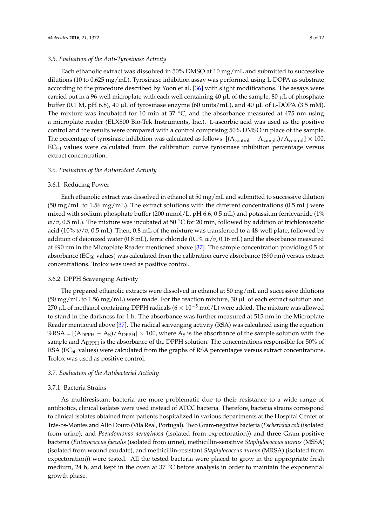## *3.5. Evaluation of the Anti-Tyrosinase Activity*

Each ethanolic extract was dissolved in 50% DMSO at 10 mg/mL and submitted to successive dilutions (10 to 0.625 mg/mL). Tyrosinase inhibition assay was performed using L-DOPA as substrate according to the procedure described by Yoon et al. [\[36\]](#page-11-11) with slight modifications. The assays were carried out in a 96-well microplate with each well containing 40  $\mu$ L of the sample, 80  $\mu$ L of phosphate buffer (0.1 M, pH 6.8), 40 µL of tyrosinase enzyme (60 units/mL), and 40 µL of L-DOPA (3.5 mM). The mixture was incubated for 10 min at 37  $\degree$ C, and the absorbance measured at 475 nm using a microplate reader (ELX800 Bio-Tek Instruments, Inc.). L-ascorbic acid was used as the positive control and the results were compared with a control comprising 50% DMSO in place of the sample. The percentage of tyrosinase inhibition was calculated as follows:  $[(A_{control} - A_{sample})/A_{control}] \times 100$ .  $EC_{50}$  values were calculated from the calibration curve tyrosinase inhibition percentage versus extract concentration.

## *3.6. Evaluation of the Antioxidant Activity*

#### 3.6.1. Reducing Power

Each ethanolic extract was dissolved in ethanol at 50 mg/mL and submitted to successive dilution (50 mg/mL to 1.56 mg/mL). The extract solutions with the different concentrations (0.5 mL) were mixed with sodium phosphate buffer (200 mmol/L, pH 6.6, 0.5 mL) and potassium ferricyanide (1% *w*/*v*, 0.5 mL). The mixture was incubated at 50 ℃ for 20 min, followed by addition of trichloroacetic acid (10% *w*/*v*, 0.5 mL). Then, 0.8 mL of the mixture was transferred to a 48-well plate, followed by addition of deionized water (0.8 mL), ferric chloride (0.1% *w*/*v*, 0.16 mL) and the absorbance measured at 690 nm in the Microplate Reader mentioned above [\[37\]](#page-11-12). The sample concentration providing 0.5 of absorbance ( $EC_{50}$  values) was calculated from the calibration curve absorbance (690 nm) versus extract concentrations. Trolox was used as positive control.

## 3.6.2. DPPH Scavenging Activity

The prepared ethanolic extracts were dissolved in ethanol at 50 mg/mL and successive dilutions  $(50 \text{ mg/mL}$  to  $1.56 \text{ mg/mL}$ ) were made. For the reaction mixture,  $30 \mu$ L of each extract solution and 270 µL of methanol containing DPPH radicals ( $6 \times 10^{-5}$  mol/L) were added. The mixture was allowed to stand in the darkness for 1 h. The absorbance was further measured at 515 nm in the Microplate Reader mentioned above [\[37\]](#page-11-12). The radical scavenging activity (RSA) was calculated using the equation: %RSA =  $[(A_{DPPH} - A_S)/A_{DPPH}] \times 100$ , where  $A_S$  is the absorbance of the sample solution with the sample and A<sub>DPPH</sub> is the absorbance of the DPPH solution. The concentrations responsible for 50% of RSA ( $EC_{50}$  values) were calculated from the graphs of RSA percentages versus extract concentrations. Trolox was used as positive control.

## *3.7. Evaluation of the Antibacterial Activity*

## 3.7.1. Bacteria Strains

As multiresistant bacteria are more problematic due to their resistance to a wide range of antibiotics, clinical isolates were used instead of ATCC bacteria. Therefore, bacteria strains correspond to clinical isolates obtained from patients hospitalized in various departments at the Hospital Center of Trás-os-Montes and Alto Douro (Vila Real, Portugal). Two Gram-negative bacteria (*Escherichia coli* (isolated from urine), and *Pseudomonas aeruginosa* (isolated from expectoration)) and three Gram-positive bacteria (*Enterococcus faecalis* (isolated from urine), methicillin-sensitive *Staphylococcus aureus* (MSSA) (isolated from wound exudate), and methicillin-resistant *Staphylococcus aureus* (MRSA) (isolated from expectoration)) were tested. All the tested bacteria were placed to grow in the appropriate fresh medium, 24 h, and kept in the oven at 37 ◦C before analysis in order to maintain the exponential growth phase.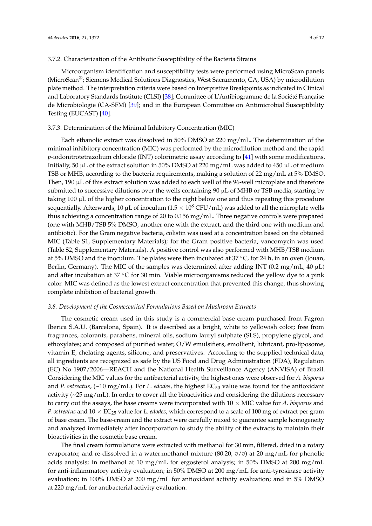## 3.7.2. Characterization of the Antibiotic Susceptibility of the Bacteria Strains

Microorganism identification and susceptibility tests were performed using MicroScan panels (MicroScan®; Siemens Medical Solutions Diagnostics, West Sacramento, CA, USA) by microdilution plate method. The interpretation criteria were based on Interpretive Breakpoints as indicated in Clinical and Laboratory Standards Institute (CLSI) [\[38\]](#page-11-13); Committee of L'Antibiogramme de la Société Française de Microbiologie (CA-SFM) [\[39\]](#page-11-14); and in the European Committee on Antimicrobial Susceptibility Testing (EUCAST) [\[40\]](#page-11-15).

## 3.7.3. Determination of the Minimal Inhibitory Concentration (MIC)

Each ethanolic extract was dissolved in 50% DMSO at 220 mg/mL. The determination of the minimal inhibitory concentration (MIC) was performed by the microdilution method and the rapid *p*-iodonitrotetrazolium chloride (INT) colorimetric assay according to [\[41\]](#page-11-16) with some modifications. Initially, 50  $\mu$ L of the extract solution in 50% DMSO at 220 mg/mL was added to 450  $\mu$ L of medium TSB or MHB, according to the bacteria requirements, making a solution of 22 mg/mL at 5% DMSO. Then, 190 µL of this extract solution was added to each well of the 96-well microplate and therefore submitted to successive dilutions over the wells containing  $90 \mu$ L of MHB or TSB media, starting by taking  $100 \mu$ L of the higher concentration to the right below one and thus repeating this procedure sequentially. Afterwards, 10  $\mu$ L of inoculum (1.5  $\times$  10<sup>8</sup> CFU/mL) was added to all the microplate wells thus achieving a concentration range of 20 to 0.156 mg/mL. Three negative controls were prepared (one with MHB/TSB 5% DMSO, another one with the extract, and the third one with medium and antibiotic). For the Gram negative bacteria, colistin was used at a concentration based on the obtained MIC (Table S1, Supplementary Materials); for the Gram positive bacteria, vancomycin was used (Table S2, Supplementary Materials). A positive control was also performed with MHB/TSB medium at 5% DMSO and the inoculum. The plates were then incubated at 37 ◦C, for 24 h, in an oven (Jouan, Berlin, Germany). The MIC of the samples was determined after adding INT  $(0.2 \text{ mg/mL}, 40 \mu L)$ and after incubation at 37  $\degree$ C for 30 min. Viable microorganisms reduced the yellow dye to a pink color. MIC was defined as the lowest extract concentration that prevented this change, thus showing complete inhibition of bacterial growth.

## *3.8. Development of the Cosmeceutical Formulations Based on Mushroom Extracts*

The cosmetic cream used in this study is a commercial base cream purchased from Fagron Iberica S.A.U. (Barcelona, Spain). It is described as a bright, white to yellowish color; free from fragrances, colorants, parabens, mineral oils, sodium lauryl sulphate (SLS), propylene glycol, and ethoxylates; and composed of purified water, O/W emulsifiers, emollient, lubricant, pro-liposome, vitamin E, chelating agents, silicone, and preservatives. According to the supplied technical data, all ingredients are recognized as safe by the US Food and Drug Administration (FDA), Regulation (EC) No 1907/2006—REACH and the National Health Surveillance Agency (ANVISA) of Brazil. Considering the MIC values for the antibacterial activity, the highest ones were observed for *A. bisporus* and *P. ostreatus*, (~10 mg/mL). For *L. edodes*, the highest EC<sub>50</sub> value was found for the antioxidant activity (~25 mg/mL). In order to cover all the bioactivities and considering the dilutions necessary to carry out the assays, the base creams were incorporated with  $10 \times$  MIC value for *A. bisporus* and *P. ostreatus* and 10 × EC<sup>25</sup> value for *L. edodes*, which correspond to a scale of 100 mg of extract per gram of base cream. The base-cream and the extract were carefully mixed to guarantee sample homogeneity and analyzed immediately after incorporation to study the ability of the extracts to maintain their bioactivities in the cosmetic base cream.

The final cream formulations were extracted with methanol for 30 min, filtered, dried in a rotary evaporator, and re-dissolved in a water:methanol mixture (80:20, *v*/*v*) at 20 mg/mL for phenolic acids analysis; in methanol at 10 mg/mL for ergosterol analysis; in 50% DMSO at 200 mg/mL for anti-inflammatory activity evaluation; in 50% DMSO at 200 mg/mL for anti-tyrosinase activity evaluation; in 100% DMSO at 200 mg/mL for antioxidant activity evaluation; and in 5% DMSO at 220 mg/mL for antibacterial activity evaluation.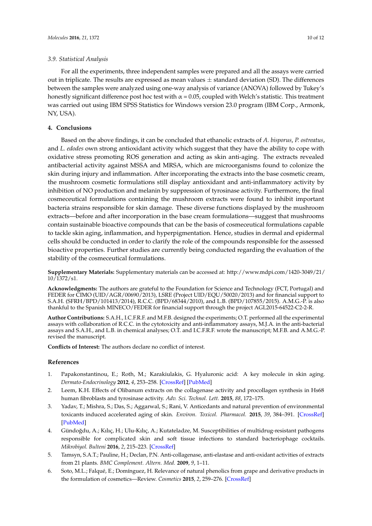## *3.9. Statistical Analysis*

For all the experiments, three independent samples were prepared and all the assays were carried out in triplicate. The results are expressed as mean values  $\pm$  standard deviation (SD). The differences between the samples were analyzed using one-way analysis of variance (ANOVA) followed by Tukey's honestly significant difference post hoc test with  $\alpha$  = 0.05, coupled with Welch's statistic. This treatment was carried out using IBM SPSS Statistics for Windows version 23.0 program (IBM Corp., Armonk, NY, USA).

# **4. Conclusions**

Based on the above findings, it can be concluded that ethanolic extracts of *A. bisporus*, *P. ostreatus*, and *L. edodes* own strong antioxidant activity which suggest that they have the ability to cope with oxidative stress promoting ROS generation and acting as skin anti-aging. The extracts revealed antibacterial activity against MSSA and MRSA, which are microorganisms found to colonize the skin during injury and inflammation. After incorporating the extracts into the base cosmetic cream, the mushroom cosmetic formulations still display antioxidant and anti-inflammatory activity by inhibition of NO production and melanin by suppression of tyrosinase activity. Furthermore, the final cosmeceutical formulations containing the mushroom extracts were found to inhibit important bacteria strains responsible for skin damage. These diverse functions displayed by the mushroom extracts—before and after incorporation in the base cream formulations—suggest that mushrooms contain sustainable bioactive compounds that can be the basis of cosmeceutical formulations capable to tackle skin aging, inflammation, and hyperpigmentation. Hence, studies in dermal and epidermal cells should be conducted in order to clarify the role of the compounds responsible for the assessed bioactive properties. Further studies are currently being conducted regarding the evaluation of the stability of the cosmeceutical formulations.

**Supplementary Materials:** Supplementary materials can be accessed at: [http://www.mdpi.com/1420-3049/21/](http://www.mdpi.com/1420-3049/21/10/1372/s1) [10/1372/s1.](http://www.mdpi.com/1420-3049/21/10/1372/s1)

**Acknowledgments:** The authors are grateful to the Foundation for Science and Technology (FCT, Portugal) and FEDER for CIMO (UID/AGR/00690/2013), LSRE (Project UID/EQU/50020/2013) and for financial support to S.A.H. (SFRH/BPD/101413/2014), R.C.C. (BPD/68344/2010), and L.B. (BPD/107855/2015). A.M.G.-P. is also thankful to the Spanish MINECO/FEDER for financial support through the project AGL2015-64522-C2-2-R.

**Author Contributions:** S.A.H., I.C.F.R.F. and M.F.B. designed the experiments; O.T. performed all the experimental assays with collaboration of R.C.C. in the cytotoxicity and anti-inflammatory assays, M.J.A. in the anti-bacterial assays and S.A.H., and L.B. in chemical analyses; O.T. and I.C.F.R.F. wrote the manuscript; M.F.B. and A.M.G.-P. revised the manuscript.

**Conflicts of Interest:** The authors declare no conflict of interest.

#### **References**

- <span id="page-9-0"></span>1. Papakonstantinou, E.; Roth, M.; Karakiulakis, G. Hyaluronic acid: A key molecule in skin aging. *Dermato-Endocrinology* **2012**, *4*, 253–258. [\[CrossRef\]](http://dx.doi.org/10.4161/derm.21923) [\[PubMed\]](http://www.ncbi.nlm.nih.gov/pubmed/23467280)
- <span id="page-9-1"></span>2. Leem, K.H. Effects of Olibanum extracts on the collagenase activity and procollagen synthesis in Hs68 human fibroblasts and tyrosinase activity. *Adv. Sci. Technol. Lett.* **2015**, *88*, 172–175.
- <span id="page-9-2"></span>3. Yadav, T.; Mishra, S.; Das, S.; Aggarwal, S.; Rani, V. Anticedants and natural prevention of environmental toxicants induced accelerated aging of skin. *Environ. Toxicol. Pharmacol.* **2015**, *39*, 384–391. [\[CrossRef\]](http://dx.doi.org/10.1016/j.etap.2014.11.003) [\[PubMed\]](http://www.ncbi.nlm.nih.gov/pubmed/25555260)
- <span id="page-9-3"></span>4. Gündoğdu, A.; Kılıç, H.; Ulu-Kılıç, A.; Kutateladze, M. Susceptibilities of multidrug-resistant pathogens responsible for complicated skin and soft tissue infections to standard bacteriophage cocktails. *Mikrobiyol. Bulteni* **2016**, *2*, 215–223. [\[CrossRef\]](http://dx.doi.org/10.5578/mb.24165)
- <span id="page-9-4"></span>5. Tamsyn, S.A.T.; Pauline, H.; Declan, P.N. Anti-collagenase, anti-elastase and anti-oxidant activities of extracts from 21 plants. *BMC Complement. Altern. Med.* **2009**, *9*, 1–11.
- <span id="page-9-5"></span>6. Soto, M.L.; Falqué, E.; Domínguez, H. Relevance of natural phenolics from grape and derivative products in the formulation of cosmetics—Review. *Cosmetics* **2015**, *2*, 259–276. [\[CrossRef\]](http://dx.doi.org/10.3390/cosmetics2030259)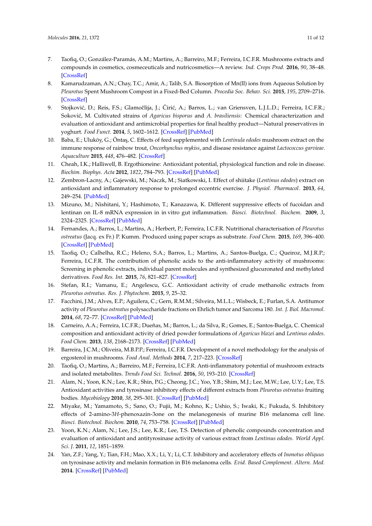- <span id="page-10-0"></span>7. Taofiq, O.; González-Paramás, A.M.; Martins, A.; Barreiro, M.F.; Ferreira, I.C.F.R. Mushrooms extracts and compounds in cosmetics, cosmeceuticals and nutricosmetics—A review. *Ind. Crops Prod.* **2016**, *90*, 38–48. [\[CrossRef\]](http://dx.doi.org/10.1016/j.indcrop.2016.06.012)
- <span id="page-10-1"></span>8. Kamarudzaman, A.N.; Chay, T.C.; Amir, A.; Talib, S.A. Biosorption of Mn(II) ions from Aqueous Solution by *Pleurotus* Spent Mushroom Compost in a Fixed-Bed Column. *Procedia Soc. Behav. Sci.* **2015**, *195*, 2709–2716. [\[CrossRef\]](http://dx.doi.org/10.1016/j.sbspro.2015.06.379)
- <span id="page-10-2"></span>9. Stojković, D.; Reis, F.S.; Glamočlija, J.; Ćirić, A.; Barros, L.; van Griensven, L.J.L.D.; Ferreira, I.C.F.R.; Soković, M. Cultivated strains of *Agaricus bisporus* and *A. brasiliensis*: Chemical characterization and evaluation of antioxidant and antimicrobial properties for final healthy product—Natural preservatives in yoghurt. *Food Funct.* **2014**, *5*, 1602–1612. [\[CrossRef\]](http://dx.doi.org/10.1039/c4fo00054d) [\[PubMed\]](http://www.ncbi.nlm.nih.gov/pubmed/24881564)
- <span id="page-10-3"></span>10. Baba, E.; Uluköy, G.; Öntaş, C. Effects of feed supplemented with *Lentinula edodes* mushroom extract on the immune response of rainbow trout, *Oncorhynchus mykiss*, and disease resistance against *Lactococcus garvieae*. *Aquaculture* **2015**, *448*, 476–482. [\[CrossRef\]](http://dx.doi.org/10.1016/j.aquaculture.2015.04.031)
- <span id="page-10-4"></span>11. Cheah, I.K.; Halliwell, B. Ergothioneine: Antioxidant potential, physiological function and role in disease. *Biochim. Biophys. Acta* **2012**, *1822*, 784–793. [\[CrossRef\]](http://dx.doi.org/10.1016/j.bbadis.2011.09.017) [\[PubMed\]](http://www.ncbi.nlm.nih.gov/pubmed/22001064)
- <span id="page-10-5"></span>12. Zembron-Lacny, A.; Gajewski, M.; Naczk, M.; Siatkowski, I. Effect of shiitake (*Lentinus edodes*) extract on antioxidant and inflammatory response to prolonged eccentric exercise. *J. Physiol. Pharmacol.* **2013**, *64*, 249–254. [\[PubMed\]](http://www.ncbi.nlm.nih.gov/pubmed/23756400)
- <span id="page-10-6"></span>13. Mizuno, M.; Nishitani, Y.; Hashimoto, T.; Kanazawa, K. Different suppressive effects of fucoidan and lentinan on IL-8 mRNA expression in in vitro gut inflammation. *Biosci. Biotechnol. Biochem.* **2009**, *3*, 2324–2325. [\[CrossRef\]](http://dx.doi.org/10.1271/bbb.90326) [\[PubMed\]](http://www.ncbi.nlm.nih.gov/pubmed/19809164)
- <span id="page-10-7"></span>14. Fernandes, A.; Barros, L.; Martins, A.; Herbert, P.; Ferreira, I.C.F.R. Nutritional characterisation of *Pleurotus ostreatus* (Jacq. ex Fr.) P. Kumm. Produced using paper scraps as substrate. *Food Chem.* **2015**, *169*, 396–400. [\[CrossRef\]](http://dx.doi.org/10.1016/j.foodchem.2014.08.027) [\[PubMed\]](http://www.ncbi.nlm.nih.gov/pubmed/25236243)
- <span id="page-10-8"></span>15. Taofiq, O.; Calhelha, R.C.; Heleno, S.A.; Barros, L.; Martins, A.; Santos-Buelga, C.; Queiroz, M.J.R.P.; Ferreira, I.C.F.R. The contribution of phenolic acids to the anti-inflammatory activity of mushrooms: Screening in phenolic extracts, individual parent molecules and synthesized glucuronated and methylated derivatives. *Food Res. Int.* **2015**, *76*, 821–827. [\[CrossRef\]](http://dx.doi.org/10.1016/j.foodres.2015.07.044)
- <span id="page-10-9"></span>16. Stefan, R.I.; Vamanu, E.; Angelescu, G.C. Antioxidant activity of crude methanolic extracts from *Pleurotus ostreatus*. *Res. J. Phytochem.* **2015**, *9*, 25–32.
- <span id="page-10-10"></span>17. Facchini, J.M.; Alves, E.P.; Aguilera, C.; Gern, R.M.M.; Silveira, M.L.L.; Wisbeck, E.; Furlan, S.A. Antitumor activity of *Pleurotus ostreatus* polysaccharide fractions on Ehrlich tumor and Sarcoma 180. *Int. J. Biol. Macromol.* **2014**, *68*, 72–77. [\[CrossRef\]](http://dx.doi.org/10.1016/j.ijbiomac.2014.04.033) [\[PubMed\]](http://www.ncbi.nlm.nih.gov/pubmed/24768967)
- <span id="page-10-11"></span>18. Carneiro, A.A.; Ferreira, I.C.F.R.; Dueñas, M.; Barros, L.; da Silva, R.; Gomes, E.; Santos-Buelga, C. Chemical composition and antioxidant activity of dried powder formulations of *Agaricus blazei* and *Lentinus edodes*. *Food Chem.* **2013**, *138*, 2168–2173. [\[CrossRef\]](http://dx.doi.org/10.1016/j.foodchem.2012.12.036) [\[PubMed\]](http://www.ncbi.nlm.nih.gov/pubmed/23497872)
- <span id="page-10-12"></span>19. Barreira, J.C.M.; Oliveira, M.B.P.P.; Ferreira, I.C.F.R. Development of a novel methodology for the analysis of ergosterol in mushrooms. *Food Anal. Methods* **2014**, *7*, 217–223. [\[CrossRef\]](http://dx.doi.org/10.1007/s12161-013-9621-9)
- <span id="page-10-13"></span>20. Taofiq, O.; Martins, A.; Barreiro, M.F.; Ferreira, I.C.F.R. Anti-inflammatory potential of mushroom extracts and isolated metabolites. *Trends Food Sci. Technol.* **2016**, *50*, 193–210. [\[CrossRef\]](http://dx.doi.org/10.1016/j.tifs.2016.02.005)
- <span id="page-10-14"></span>21. Alam, N.; Yoon, K.N.; Lee, K.R.; Shin, P.G.; Cheong, J.C.; Yoo, Y.B.; Shim, M.J.; Lee, M.W.; Lee, U.Y.; Lee, T.S. Antioxidant activities and tyrosinase inhibitory effects of different extracts from *Pleurotus ostreatus* fruiting bodies. *Mycobiology* **2010**, *38*, 295–301. [\[CrossRef\]](http://dx.doi.org/10.4489/MYCO.2010.38.4.295) [\[PubMed\]](http://www.ncbi.nlm.nih.gov/pubmed/23956669)
- <span id="page-10-15"></span>22. Miyake, M.; Yamamoto, S.; Sano, O.; Fujii, M.; Kohno, K.; Ushio, S.; Iwaki, K.; Fukuda, S. Inhibitory effects of 2-amino-3*H*-phenoxazin-3one on the melanogenesis of murine B16 melanoma cell line. *Biosci. Biotechnol. Biochem.* **2010**, *74*, 753–758. [\[CrossRef\]](http://dx.doi.org/10.1271/bbb.90795) [\[PubMed\]](http://www.ncbi.nlm.nih.gov/pubmed/20445320)
- <span id="page-10-16"></span>23. Yoon, K.N.; Alam, N.; Lee, J.S.; Lee, K.R.; Lee, T.S. Detection of phenolic compounds concentration and evaluation of antioxidant and antityrosinase activity of various extract from *Lentinus edodes*. *World Appl. Sci. J.* **2011**, *12*, 1851–1859.
- <span id="page-10-17"></span>24. Yan, Z.F.; Yang, Y.; Tian, F.H.; Mao, X.X.; Li, Y.; Li, C.T. Inhibitory and acceleratory effects of *Inonotus obliquus* on tyrosinase activity and melanin formation in B16 melanoma cells. *Evid. Based Complement. Altern. Med.* **2014**. [\[CrossRef\]](http://dx.doi.org/10.1155/2014/259836) [\[PubMed\]](http://www.ncbi.nlm.nih.gov/pubmed/25197307)